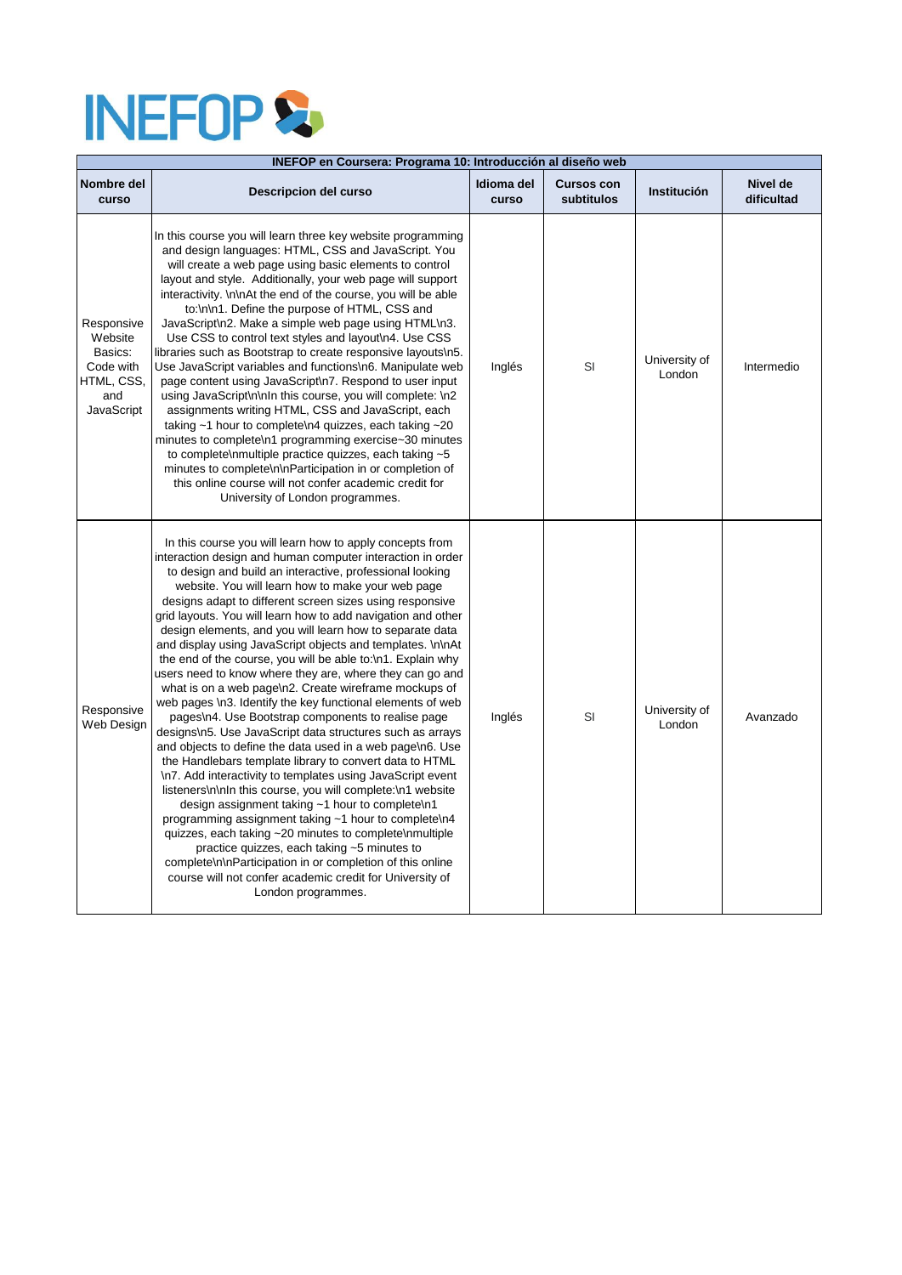## **INEFOPS**

| INEFOP en Coursera: Programa 10: Introducción al diseño web                             |                                                                                                                                                                                                                                                                                                                                                                                                                                                                                                                                                                                                                                                                                                                                                                                                                                                                                                                                                                                                                                                                                                                                                                                                                                                                                                                                                                                                                                                                                           |                     |                                 |                         |                        |  |  |
|-----------------------------------------------------------------------------------------|-------------------------------------------------------------------------------------------------------------------------------------------------------------------------------------------------------------------------------------------------------------------------------------------------------------------------------------------------------------------------------------------------------------------------------------------------------------------------------------------------------------------------------------------------------------------------------------------------------------------------------------------------------------------------------------------------------------------------------------------------------------------------------------------------------------------------------------------------------------------------------------------------------------------------------------------------------------------------------------------------------------------------------------------------------------------------------------------------------------------------------------------------------------------------------------------------------------------------------------------------------------------------------------------------------------------------------------------------------------------------------------------------------------------------------------------------------------------------------------------|---------------------|---------------------------------|-------------------------|------------------------|--|--|
| Nombre del<br>curso                                                                     | <b>Descripcion del curso</b>                                                                                                                                                                                                                                                                                                                                                                                                                                                                                                                                                                                                                                                                                                                                                                                                                                                                                                                                                                                                                                                                                                                                                                                                                                                                                                                                                                                                                                                              | Idioma del<br>curso | <b>Cursos con</b><br>subtitulos | <b>Institución</b>      | Nivel de<br>dificultad |  |  |
| Responsive<br>Website<br>Basics:<br>Code with<br>HTML, CSS,<br>and<br><b>JavaScript</b> | In this course you will learn three key website programming<br>and design languages: HTML, CSS and JavaScript. You<br>will create a web page using basic elements to control<br>layout and style. Additionally, your web page will support<br>interactivity. \n\nAt the end of the course, you will be able<br>to:\n\n1. Define the purpose of HTML, CSS and<br>JavaScript\n2. Make a simple web page using HTML\n3.<br>Use CSS to control text styles and layout\n4. Use CSS<br>libraries such as Bootstrap to create responsive layouts\n5.<br>Use JavaScript variables and functions\n6. Manipulate web<br>page content using JavaScript\n7. Respond to user input<br>using JavaScript\n\nIn this course, you will complete: \n2<br>assignments writing HTML, CSS and JavaScript, each<br>taking $~1$ hour to complete n4 quizzes, each taking $~20$<br>minutes to complete\n1 programming exercise~30 minutes<br>to complete\nmultiple practice quizzes, each taking ~5<br>minutes to complete\n\nParticipation in or completion of<br>this online course will not confer academic credit for<br>University of London programmes.                                                                                                                                                                                                                                                                                                                                                     | Inglés              | SI                              | University of<br>London | Intermedio             |  |  |
| Responsive<br><b>Web Design</b>                                                         | In this course you will learn how to apply concepts from<br>interaction design and human computer interaction in order<br>to design and build an interactive, professional looking<br>website. You will learn how to make your web page<br>designs adapt to different screen sizes using responsive<br>grid layouts. You will learn how to add navigation and other<br>design elements, and you will learn how to separate data<br>and display using JavaScript objects and templates. \n\nAt<br>the end of the course, you will be able to:\n1. Explain why<br>users need to know where they are, where they can go and<br>what is on a web page\n2. Create wireframe mockups of<br>web pages \n3. Identify the key functional elements of web<br>pages\n4. Use Bootstrap components to realise page<br>designs\n5. Use JavaScript data structures such as arrays<br>and objects to define the data used in a web page\n6. Use<br>the Handlebars template library to convert data to HTML<br>\n7. Add interactivity to templates using JavaScript event<br>listeners\n\nln this course, you will complete:\n1 website<br>design assignment taking ~1 hour to complete\n1<br>programming assignment taking ~1 hour to complete\n4<br>quizzes, each taking ~20 minutes to complete\nmultiple<br>practice quizzes, each taking ~5 minutes to<br>complete\n\nParticipation in or completion of this online<br>course will not confer academic credit for University of<br>London programmes. | Inglés              | SI                              | University of<br>London | Avanzado               |  |  |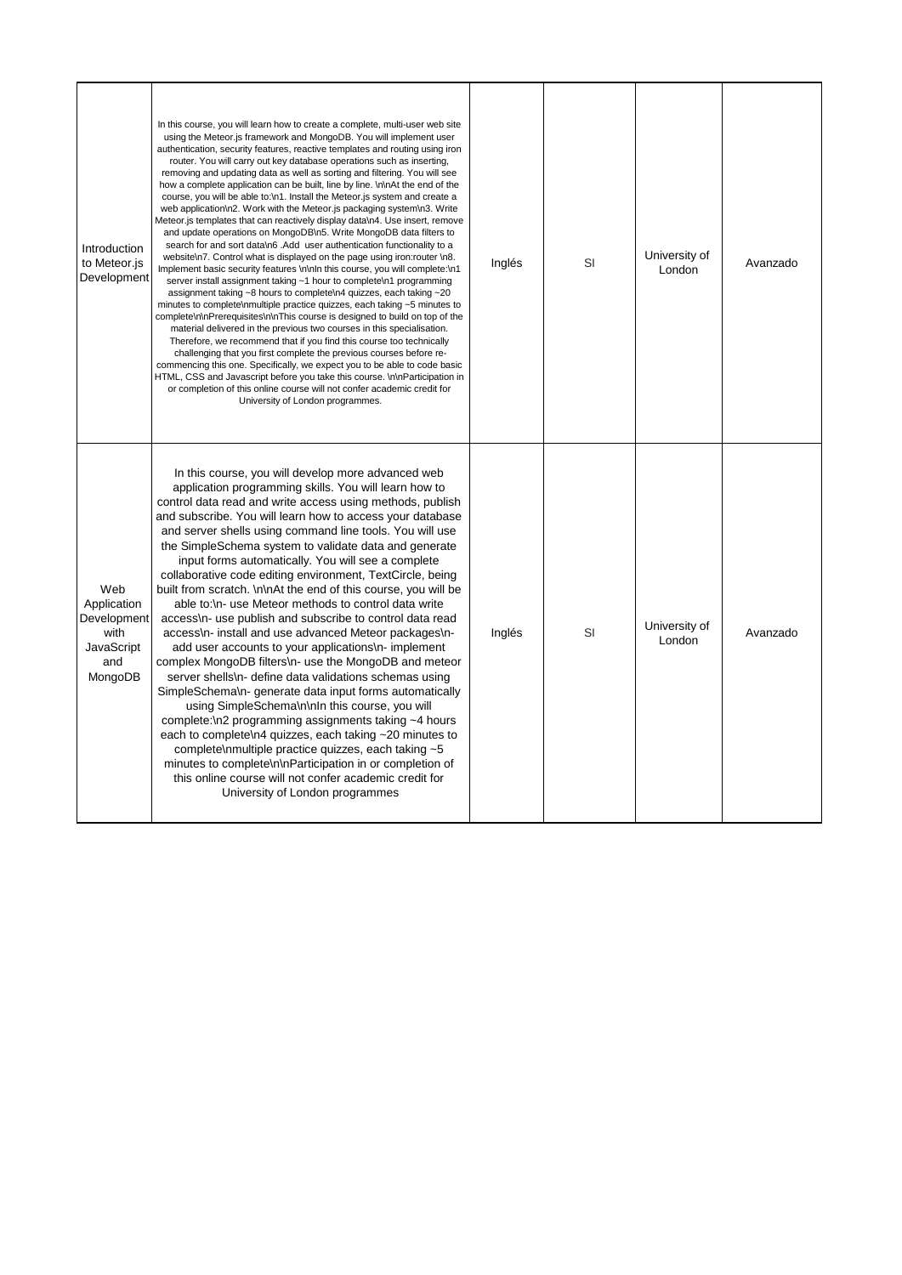| Introduction<br>to Meteor.js<br>Development                                      | In this course, you will learn how to create a complete, multi-user web site<br>using the Meteor is framework and MongoDB. You will implement user<br>authentication, security features, reactive templates and routing using iron<br>router. You will carry out key database operations such as inserting,<br>removing and updating data as well as sorting and filtering. You will see<br>how a complete application can be built, line by line. \n\nAt the end of the<br>course, you will be able to:\n1. Install the Meteor.js system and create a<br>web application\n2. Work with the Meteor.js packaging system\n3. Write<br>Meteor.js templates that can reactively display data\n4. Use insert, remove<br>and update operations on MongoDB\n5. Write MongoDB data filters to<br>search for and sort data\n6. Add user authentication functionality to a<br>website\n7. Control what is displayed on the page using iron:router \n8.<br>Implement basic security features \n\nln this course, you will complete:\n1<br>server install assignment taking ~1 hour to complete\n1 programming<br>assignment taking ~8 hours to complete\n4 quizzes, each taking ~20<br>minutes to complete\nmultiple practice quizzes, each taking ~5 minutes to<br>complete\n\nPrerequisites\n\nThis course is designed to build on top of the<br>material delivered in the previous two courses in this specialisation.<br>Therefore, we recommend that if you find this course too technically<br>challenging that you first complete the previous courses before re-<br>commencing this one. Specifically, we expect you to be able to code basic<br>HTML, CSS and Javascript before you take this course. \n\nParticipation in<br>or completion of this online course will not confer academic credit for<br>University of London programmes. | Inglés | <b>SI</b> | University of<br>London | Avanzado |
|----------------------------------------------------------------------------------|-----------------------------------------------------------------------------------------------------------------------------------------------------------------------------------------------------------------------------------------------------------------------------------------------------------------------------------------------------------------------------------------------------------------------------------------------------------------------------------------------------------------------------------------------------------------------------------------------------------------------------------------------------------------------------------------------------------------------------------------------------------------------------------------------------------------------------------------------------------------------------------------------------------------------------------------------------------------------------------------------------------------------------------------------------------------------------------------------------------------------------------------------------------------------------------------------------------------------------------------------------------------------------------------------------------------------------------------------------------------------------------------------------------------------------------------------------------------------------------------------------------------------------------------------------------------------------------------------------------------------------------------------------------------------------------------------------------------------------------------------------------------------------------------------------------------------------------------|--------|-----------|-------------------------|----------|
| Web<br>Application<br>Development<br>with<br><b>JavaScript</b><br>and<br>MongoDB | In this course, you will develop more advanced web<br>application programming skills. You will learn how to<br>control data read and write access using methods, publish<br>and subscribe. You will learn how to access your database<br>and server shells using command line tools. You will use<br>the SimpleSchema system to validate data and generate<br>input forms automatically. You will see a complete<br>collaborative code editing environment, TextCircle, being<br>built from scratch. \n\nAt the end of this course, you will be<br>able to:\n- use Meteor methods to control data write<br>access\n- use publish and subscribe to control data read<br>access\n- install and use advanced Meteor packages\n-<br>add user accounts to your applications\n- implement<br>complex MongoDB filters\n- use the MongoDB and meteor<br>server shells\n- define data validations schemas using<br>SimpleSchema\n- generate data input forms automatically<br>using SimpleSchema\n\nIn this course, you will<br>complete: $\ln 2$ programming assignments taking $\sim 4$ hours<br>each to complete\n4 quizzes, each taking ~20 minutes to<br>complete\nmultiple practice quizzes, each taking ~5<br>minutes to complete\n\nParticipation in or completion of<br>this online course will not confer academic credit for<br>University of London programmes                                                                                                                                                                                                                                                                                                                                                                                                                                                                       | Inglés | <b>SI</b> | University of<br>London | Avanzado |